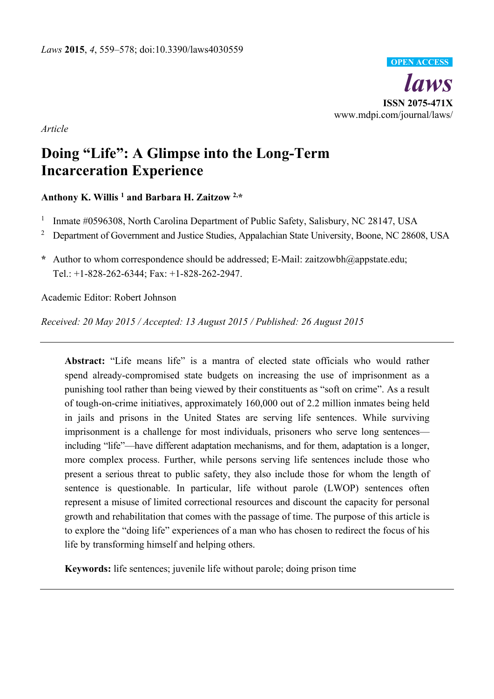

*Article* 

# **Doing "Life": A Glimpse into the Long-Term Incarceration Experience**

# **Anthony K. Willis 1 and Barbara H. Zaitzow 2,\***

- 1 Inmate #0596308, North Carolina Department of Public Safety, Salisbury, NC 28147, USA
- <sup>2</sup> Department of Government and Justice Studies, Appalachian State University, Boone, NC 28608, USA
- **\*** Author to whom correspondence should be addressed; E-Mail: zaitzowbh@appstate.edu; Tel.: +1-828-262-6344; Fax: +1-828-262-2947.

Academic Editor: Robert Johnson

*Received: 20 May 2015 / Accepted: 13 August 2015 / Published: 26 August 2015* 

**Abstract:** "Life means life" is a mantra of elected state officials who would rather spend already-compromised state budgets on increasing the use of imprisonment as a punishing tool rather than being viewed by their constituents as "soft on crime". As a result of tough-on-crime initiatives, approximately 160,000 out of 2.2 million inmates being held in jails and prisons in the United States are serving life sentences. While surviving imprisonment is a challenge for most individuals, prisoners who serve long sentences including "life"—have different adaptation mechanisms, and for them, adaptation is a longer, more complex process. Further, while persons serving life sentences include those who present a serious threat to public safety, they also include those for whom the length of sentence is questionable. In particular, life without parole (LWOP) sentences often represent a misuse of limited correctional resources and discount the capacity for personal growth and rehabilitation that comes with the passage of time. The purpose of this article is to explore the "doing life" experiences of a man who has chosen to redirect the focus of his life by transforming himself and helping others.

**Keywords:** life sentences; juvenile life without parole; doing prison time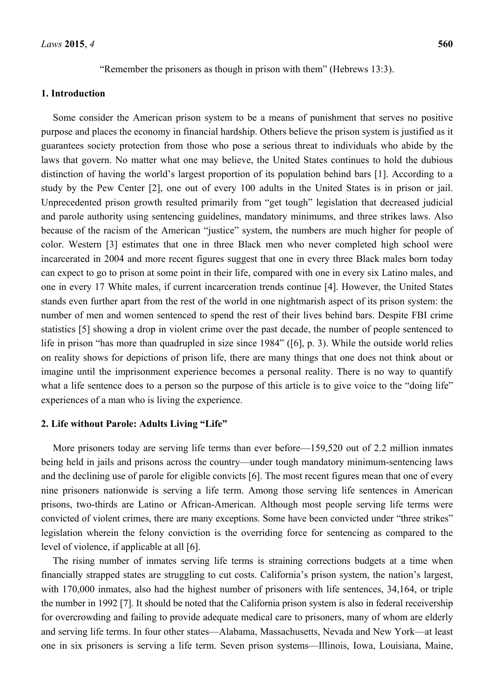## **1. Introduction**

Some consider the American prison system to be a means of punishment that serves no positive purpose and places the economy in financial hardship. Others believe the prison system is justified as it guarantees society protection from those who pose a serious threat to individuals who abide by the laws that govern. No matter what one may believe, the United States continues to hold the dubious distinction of having the world's largest proportion of its population behind bars [1]. According to a study by the Pew Center [2], one out of every 100 adults in the United States is in prison or jail. Unprecedented prison growth resulted primarily from "get tough" legislation that decreased judicial and parole authority using sentencing guidelines, mandatory minimums, and three strikes laws. Also because of the racism of the American "justice" system, the numbers are much higher for people of color. Western [3] estimates that one in three Black men who never completed high school were incarcerated in 2004 and more recent figures suggest that one in every three Black males born today can expect to go to prison at some point in their life, compared with one in every six Latino males, and one in every 17 White males, if current incarceration trends continue [4]. However, the United States stands even further apart from the rest of the world in one nightmarish aspect of its prison system: the number of men and women sentenced to spend the rest of their lives behind bars. Despite FBI crime statistics [5] showing a drop in violent crime over the past decade, the number of people sentenced to life in prison "has more than quadrupled in size since 1984" ([6], p. 3). While the outside world relies on reality shows for depictions of prison life, there are many things that one does not think about or imagine until the imprisonment experience becomes a personal reality. There is no way to quantify what a life sentence does to a person so the purpose of this article is to give voice to the "doing life" experiences of a man who is living the experience.

#### **2. Life without Parole: Adults Living "Life"**

More prisoners today are serving life terms than ever before—159,520 out of 2.2 million inmates being held in jails and prisons across the country—under tough mandatory minimum-sentencing laws and the declining use of parole for eligible convicts [6]. The most recent figures mean that one of every nine prisoners nationwide is serving a life term. Among those serving life sentences in American prisons, two-thirds are Latino or African-American. Although most people serving life terms were convicted of violent crimes, there are many exceptions. Some have been convicted under "three strikes" legislation wherein the felony conviction is the overriding force for sentencing as compared to the level of violence, if applicable at all [6].

The rising number of inmates serving life terms is straining corrections budgets at a time when financially strapped states are struggling to cut costs. California's prison system, the nation's largest, with 170,000 inmates, also had the highest number of prisoners with life sentences, 34,164, or triple the number in 1992 [7]. It should be noted that the California prison system is also in federal receivership for overcrowding and failing to provide adequate medical care to prisoners, many of whom are elderly and serving life terms. In four other states—Alabama, Massachusetts, Nevada and New York—at least one in six prisoners is serving a life term. Seven prison systems—Illinois, Iowa, Louisiana, Maine,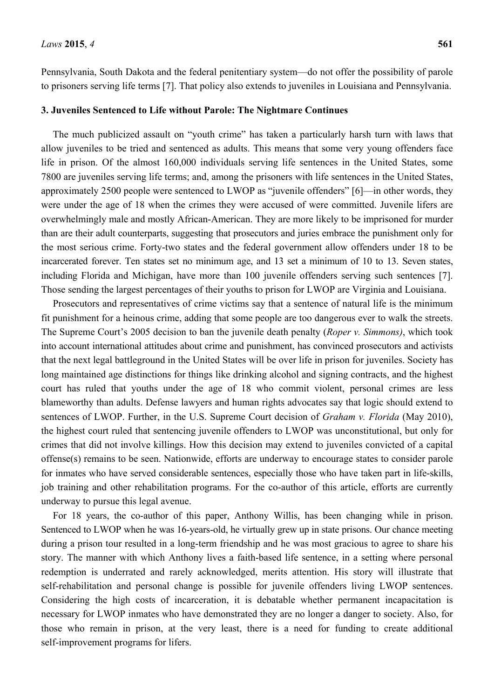Pennsylvania, South Dakota and the federal penitentiary system—do not offer the possibility of parole to prisoners serving life terms [7]. That policy also extends to juveniles in Louisiana and Pennsylvania.

#### **3. Juveniles Sentenced to Life without Parole: The Nightmare Continues**

The much publicized assault on "youth crime" has taken a particularly harsh turn with laws that allow juveniles to be tried and sentenced as adults. This means that some very young offenders face life in prison. Of the almost 160,000 individuals serving life sentences in the United States, some 7800 are juveniles serving life terms; and, among the prisoners with life sentences in the United States, approximately 2500 people were sentenced to LWOP as "juvenile offenders" [6]—in other words, they were under the age of 18 when the crimes they were accused of were committed. Juvenile lifers are overwhelmingly male and mostly African-American. They are more likely to be imprisoned for murder than are their adult counterparts, suggesting that prosecutors and juries embrace the punishment only for the most serious crime. Forty-two states and the federal government allow offenders under 18 to be incarcerated forever. Ten states set no minimum age, and 13 set a minimum of 10 to 13. Seven states, including Florida and Michigan, have more than 100 juvenile offenders serving such sentences [7]. Those sending the largest percentages of their youths to prison for LWOP are Virginia and Louisiana.

Prosecutors and representatives of crime victims say that a sentence of natural life is the minimum fit punishment for a heinous crime, adding that some people are too dangerous ever to walk the streets. The Supreme Court's 2005 decision to ban the juvenile death penalty (*Roper v. Simmons)*, which took into account international attitudes about crime and punishment, has convinced prosecutors and activists that the next legal battleground in the United States will be over life in prison for juveniles. Society has long maintained age distinctions for things like drinking alcohol and signing contracts, and the highest court has ruled that youths under the age of 18 who commit violent, personal crimes are less blameworthy than adults. Defense lawyers and human rights advocates say that logic should extend to sentences of LWOP. Further, in the U.S. Supreme Court decision of *Graham v. Florida* (May 2010), the highest court ruled that sentencing juvenile offenders to LWOP was unconstitutional, but only for crimes that did not involve killings. How this decision may extend to juveniles convicted of a capital offense(s) remains to be seen. Nationwide, efforts are underway to encourage states to consider parole for inmates who have served considerable sentences, especially those who have taken part in life-skills, job training and other rehabilitation programs. For the co-author of this article, efforts are currently underway to pursue this legal avenue.

For 18 years, the co-author of this paper, Anthony Willis, has been changing while in prison. Sentenced to LWOP when he was 16-years-old, he virtually grew up in state prisons. Our chance meeting during a prison tour resulted in a long-term friendship and he was most gracious to agree to share his story. The manner with which Anthony lives a faith-based life sentence, in a setting where personal redemption is underrated and rarely acknowledged, merits attention. His story will illustrate that self-rehabilitation and personal change is possible for juvenile offenders living LWOP sentences. Considering the high costs of incarceration, it is debatable whether permanent incapacitation is necessary for LWOP inmates who have demonstrated they are no longer a danger to society. Also, for those who remain in prison, at the very least, there is a need for funding to create additional self-improvement programs for lifers.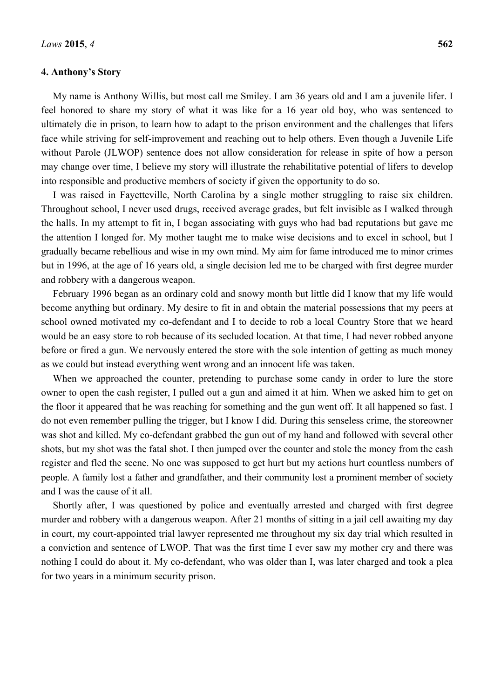# **4. Anthony's Story**

My name is Anthony Willis, but most call me Smiley. I am 36 years old and I am a juvenile lifer. I feel honored to share my story of what it was like for a 16 year old boy, who was sentenced to ultimately die in prison, to learn how to adapt to the prison environment and the challenges that lifers face while striving for self-improvement and reaching out to help others. Even though a Juvenile Life without Parole (JLWOP) sentence does not allow consideration for release in spite of how a person may change over time, I believe my story will illustrate the rehabilitative potential of lifers to develop into responsible and productive members of society if given the opportunity to do so.

I was raised in Fayetteville, North Carolina by a single mother struggling to raise six children. Throughout school, I never used drugs, received average grades, but felt invisible as I walked through the halls. In my attempt to fit in, I began associating with guys who had bad reputations but gave me the attention I longed for. My mother taught me to make wise decisions and to excel in school, but I gradually became rebellious and wise in my own mind. My aim for fame introduced me to minor crimes but in 1996, at the age of 16 years old, a single decision led me to be charged with first degree murder and robbery with a dangerous weapon.

February 1996 began as an ordinary cold and snowy month but little did I know that my life would become anything but ordinary. My desire to fit in and obtain the material possessions that my peers at school owned motivated my co-defendant and I to decide to rob a local Country Store that we heard would be an easy store to rob because of its secluded location. At that time, I had never robbed anyone before or fired a gun. We nervously entered the store with the sole intention of getting as much money as we could but instead everything went wrong and an innocent life was taken.

When we approached the counter, pretending to purchase some candy in order to lure the store owner to open the cash register, I pulled out a gun and aimed it at him. When we asked him to get on the floor it appeared that he was reaching for something and the gun went off. It all happened so fast. I do not even remember pulling the trigger, but I know I did. During this senseless crime, the storeowner was shot and killed. My co-defendant grabbed the gun out of my hand and followed with several other shots, but my shot was the fatal shot. I then jumped over the counter and stole the money from the cash register and fled the scene. No one was supposed to get hurt but my actions hurt countless numbers of people. A family lost a father and grandfather, and their community lost a prominent member of society and I was the cause of it all.

Shortly after, I was questioned by police and eventually arrested and charged with first degree murder and robbery with a dangerous weapon. After 21 months of sitting in a jail cell awaiting my day in court, my court-appointed trial lawyer represented me throughout my six day trial which resulted in a conviction and sentence of LWOP. That was the first time I ever saw my mother cry and there was nothing I could do about it. My co-defendant, who was older than I, was later charged and took a plea for two years in a minimum security prison.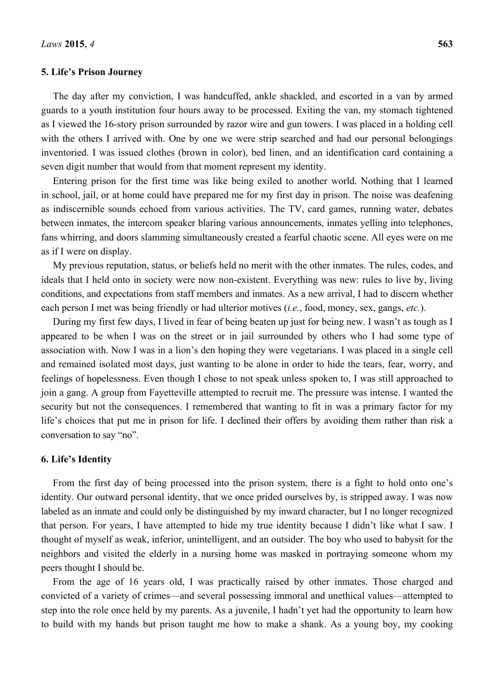## **5. Life's Prison Journey**

The day after my conviction, I was handcuffed, ankle shackled, and escorted in a van by armed guards to a youth institution four hours away to be processed. Exiting the van, my stomach tightened as I viewed the 16-story prison surrounded by razor wire and gun towers. I was placed in a holding cell with the others I arrived with. One by one we were strip searched and had our personal belongings inventoried. I was issued clothes (brown in color), bed linen, and an identification card containing a seven digit number that would from that moment represent my identity.

Entering prison for the first time was like being exiled to another world. Nothing that I learned in school, jail, or at home could have prepared me for my first day in prison. The noise was deafening as indiscernible sounds echoed from various activities. The TV, card games, running water, debates between inmates, the intercom speaker blaring various announcements, inmates yelling into telephones, fans whirring, and doors slamming simultaneously created a fearful chaotic scene. All eyes were on me as if I were on display.

My previous reputation, status, or beliefs held no merit with the other inmates. The rules, codes, and ideals that I held onto in society were now non-existent. Everything was new: rules to live by, living conditions, and expectations from staff members and inmates. As a new arrival, I had to discern whether each person I met was being friendly or had ulterior motives (*i.e.*, food, money, sex, gangs, *etc.*).

During my first few days, I lived in fear of being beaten up just for being new. I wasn't as tough as I appeared to be when I was on the street or in jail surrounded by others who I had some type of association with. Now I was in a lion's den hoping they were vegetarians. I was placed in a single cell and remained isolated most days, just wanting to be alone in order to hide the tears, fear, worry, and feelings of hopelessness. Even though I chose to not speak unless spoken to, I was still approached to join a gang. A group from Fayetteville attempted to recruit me. The pressure was intense. I wanted the security but not the consequences. I remembered that wanting to fit in was a primary factor for my life's choices that put me in prison for life. I declined their offers by avoiding them rather than risk a conversation to say "no".

# **6. Life's Identity**

From the first day of being processed into the prison system, there is a fight to hold onto one's identity. Our outward personal identity, that we once prided ourselves by, is stripped away. I was now labeled as an inmate and could only be distinguished by my inward character, but I no longer recognized that person. For years, I have attempted to hide my true identity because I didn't like what I saw. I thought of myself as weak, inferior, unintelligent, and an outsider. The boy who used to babysit for the neighbors and visited the elderly in a nursing home was masked in portraying someone whom my peers thought I should be.

From the age of 16 years old, I was practically raised by other inmates. Those charged and convicted of a variety of crimes—and several possessing immoral and unethical values—attempted to step into the role once held by my parents. As a juvenile, I hadn't yet had the opportunity to learn how to build with my hands but prison taught me how to make a shank. As a young boy, my cooking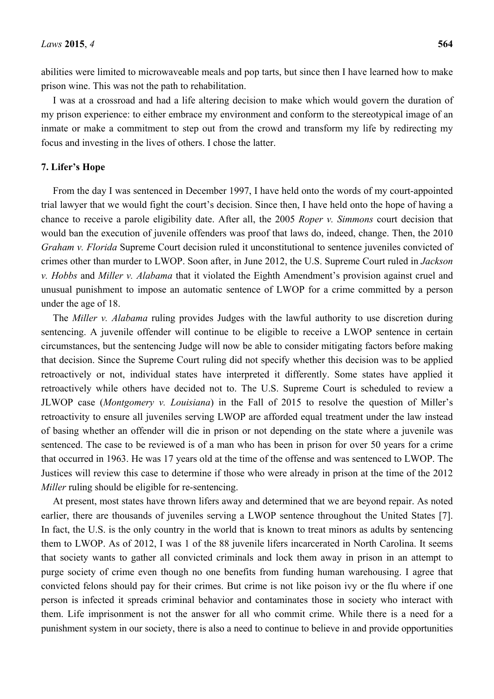abilities were limited to microwaveable meals and pop tarts, but since then I have learned how to make prison wine. This was not the path to rehabilitation.

I was at a crossroad and had a life altering decision to make which would govern the duration of my prison experience: to either embrace my environment and conform to the stereotypical image of an inmate or make a commitment to step out from the crowd and transform my life by redirecting my focus and investing in the lives of others. I chose the latter.

# **7. Lifer's Hope**

From the day I was sentenced in December 1997, I have held onto the words of my court-appointed trial lawyer that we would fight the court's decision. Since then, I have held onto the hope of having a chance to receive a parole eligibility date. After all, the 2005 *Roper v. Simmons* court decision that would ban the execution of juvenile offenders was proof that laws do, indeed, change. Then, the 2010 *Graham v. Florida* Supreme Court decision ruled it unconstitutional to sentence juveniles convicted of crimes other than murder to LWOP. Soon after, in June 2012, the U.S. Supreme Court ruled in *Jackson v. Hobbs* and *Miller v. Alabama* that it violated the Eighth Amendment's provision against cruel and unusual punishment to impose an automatic sentence of LWOP for a crime committed by a person under the age of 18.

The *Miller v. Alabama* ruling provides Judges with the lawful authority to use discretion during sentencing. A juvenile offender will continue to be eligible to receive a LWOP sentence in certain circumstances, but the sentencing Judge will now be able to consider mitigating factors before making that decision. Since the Supreme Court ruling did not specify whether this decision was to be applied retroactively or not, individual states have interpreted it differently. Some states have applied it retroactively while others have decided not to. The U.S. Supreme Court is scheduled to review a JLWOP case (*Montgomery v. Louisiana*) in the Fall of 2015 to resolve the question of Miller's retroactivity to ensure all juveniles serving LWOP are afforded equal treatment under the law instead of basing whether an offender will die in prison or not depending on the state where a juvenile was sentenced. The case to be reviewed is of a man who has been in prison for over 50 years for a crime that occurred in 1963. He was 17 years old at the time of the offense and was sentenced to LWOP. The Justices will review this case to determine if those who were already in prison at the time of the 2012 *Miller* ruling should be eligible for re-sentencing.

At present, most states have thrown lifers away and determined that we are beyond repair. As noted earlier, there are thousands of juveniles serving a LWOP sentence throughout the United States [7]. In fact, the U.S. is the only country in the world that is known to treat minors as adults by sentencing them to LWOP. As of 2012, I was 1 of the 88 juvenile lifers incarcerated in North Carolina. It seems that society wants to gather all convicted criminals and lock them away in prison in an attempt to purge society of crime even though no one benefits from funding human warehousing. I agree that convicted felons should pay for their crimes. But crime is not like poison ivy or the flu where if one person is infected it spreads criminal behavior and contaminates those in society who interact with them. Life imprisonment is not the answer for all who commit crime. While there is a need for a punishment system in our society, there is also a need to continue to believe in and provide opportunities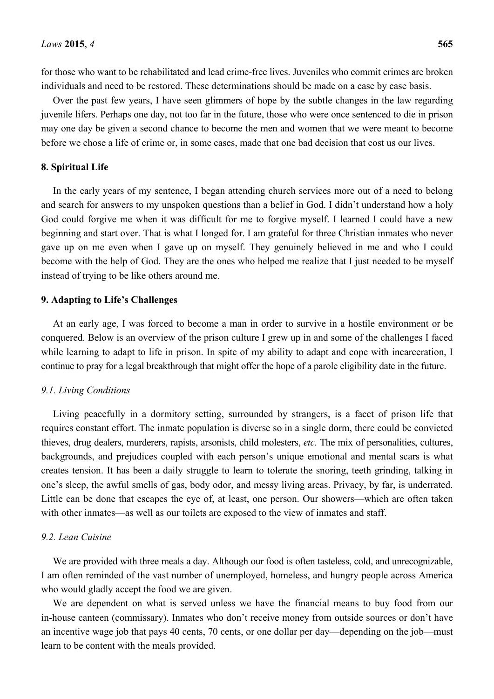for those who want to be rehabilitated and lead crime-free lives. Juveniles who commit crimes are broken individuals and need to be restored. These determinations should be made on a case by case basis.

Over the past few years, I have seen glimmers of hope by the subtle changes in the law regarding juvenile lifers. Perhaps one day, not too far in the future, those who were once sentenced to die in prison may one day be given a second chance to become the men and women that we were meant to become before we chose a life of crime or, in some cases, made that one bad decision that cost us our lives.

#### **8. Spiritual Life**

In the early years of my sentence, I began attending church services more out of a need to belong and search for answers to my unspoken questions than a belief in God. I didn't understand how a holy God could forgive me when it was difficult for me to forgive myself. I learned I could have a new beginning and start over. That is what I longed for. I am grateful for three Christian inmates who never gave up on me even when I gave up on myself. They genuinely believed in me and who I could become with the help of God. They are the ones who helped me realize that I just needed to be myself instead of trying to be like others around me.

## **9. Adapting to Life's Challenges**

At an early age, I was forced to become a man in order to survive in a hostile environment or be conquered. Below is an overview of the prison culture I grew up in and some of the challenges I faced while learning to adapt to life in prison. In spite of my ability to adapt and cope with incarceration, I continue to pray for a legal breakthrough that might offer the hope of a parole eligibility date in the future.

#### *9.1. Living Conditions*

Living peacefully in a dormitory setting, surrounded by strangers, is a facet of prison life that requires constant effort. The inmate population is diverse so in a single dorm, there could be convicted thieves, drug dealers, murderers, rapists, arsonists, child molesters, *etc.* The mix of personalities, cultures, backgrounds, and prejudices coupled with each person's unique emotional and mental scars is what creates tension. It has been a daily struggle to learn to tolerate the snoring, teeth grinding, talking in one's sleep, the awful smells of gas, body odor, and messy living areas. Privacy, by far, is underrated. Little can be done that escapes the eye of, at least, one person. Our showers—which are often taken with other inmates—as well as our toilets are exposed to the view of inmates and staff.

#### *9.2. Lean Cuisine*

We are provided with three meals a day. Although our food is often tasteless, cold, and unrecognizable, I am often reminded of the vast number of unemployed, homeless, and hungry people across America who would gladly accept the food we are given.

We are dependent on what is served unless we have the financial means to buy food from our in-house canteen (commissary). Inmates who don't receive money from outside sources or don't have an incentive wage job that pays 40 cents, 70 cents, or one dollar per day—depending on the job—must learn to be content with the meals provided.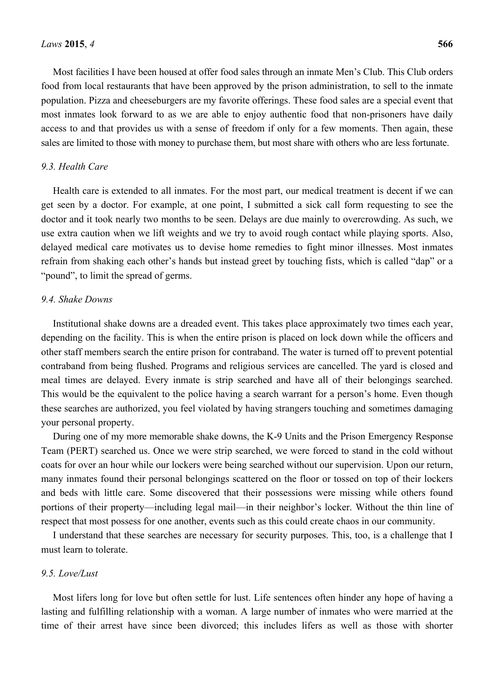Most facilities I have been housed at offer food sales through an inmate Men's Club. This Club orders food from local restaurants that have been approved by the prison administration, to sell to the inmate population. Pizza and cheeseburgers are my favorite offerings. These food sales are a special event that most inmates look forward to as we are able to enjoy authentic food that non-prisoners have daily access to and that provides us with a sense of freedom if only for a few moments. Then again, these sales are limited to those with money to purchase them, but most share with others who are less fortunate.

#### *9.3. Health Care*

Health care is extended to all inmates. For the most part, our medical treatment is decent if we can get seen by a doctor. For example, at one point, I submitted a sick call form requesting to see the doctor and it took nearly two months to be seen. Delays are due mainly to overcrowding. As such, we use extra caution when we lift weights and we try to avoid rough contact while playing sports. Also, delayed medical care motivates us to devise home remedies to fight minor illnesses. Most inmates refrain from shaking each other's hands but instead greet by touching fists, which is called "dap" or a "pound", to limit the spread of germs.

#### *9.4. Shake Downs*

Institutional shake downs are a dreaded event. This takes place approximately two times each year, depending on the facility. This is when the entire prison is placed on lock down while the officers and other staff members search the entire prison for contraband. The water is turned off to prevent potential contraband from being flushed. Programs and religious services are cancelled. The yard is closed and meal times are delayed. Every inmate is strip searched and have all of their belongings searched. This would be the equivalent to the police having a search warrant for a person's home. Even though these searches are authorized, you feel violated by having strangers touching and sometimes damaging your personal property.

During one of my more memorable shake downs, the K-9 Units and the Prison Emergency Response Team (PERT) searched us. Once we were strip searched, we were forced to stand in the cold without coats for over an hour while our lockers were being searched without our supervision. Upon our return, many inmates found their personal belongings scattered on the floor or tossed on top of their lockers and beds with little care. Some discovered that their possessions were missing while others found portions of their property—including legal mail—in their neighbor's locker. Without the thin line of respect that most possess for one another, events such as this could create chaos in our community.

I understand that these searches are necessary for security purposes. This, too, is a challenge that I must learn to tolerate.

# *9.5. Love/Lust*

Most lifers long for love but often settle for lust. Life sentences often hinder any hope of having a lasting and fulfilling relationship with a woman. A large number of inmates who were married at the time of their arrest have since been divorced; this includes lifers as well as those with shorter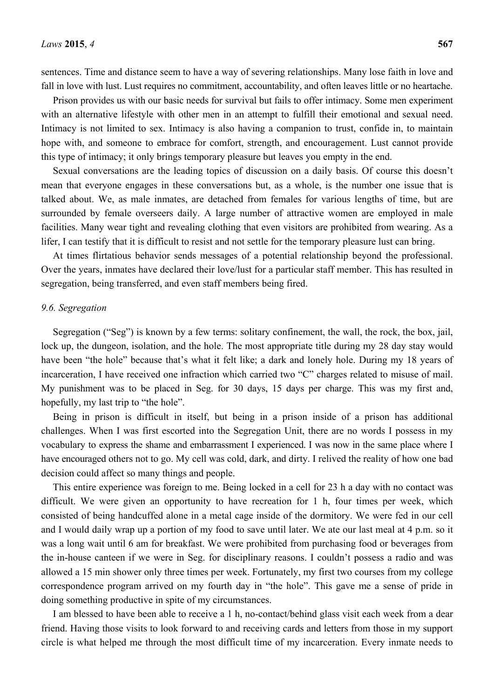sentences. Time and distance seem to have a way of severing relationships. Many lose faith in love and fall in love with lust. Lust requires no commitment, accountability, and often leaves little or no heartache.

Prison provides us with our basic needs for survival but fails to offer intimacy. Some men experiment with an alternative lifestyle with other men in an attempt to fulfill their emotional and sexual need. Intimacy is not limited to sex. Intimacy is also having a companion to trust, confide in, to maintain hope with, and someone to embrace for comfort, strength, and encouragement. Lust cannot provide this type of intimacy; it only brings temporary pleasure but leaves you empty in the end.

Sexual conversations are the leading topics of discussion on a daily basis. Of course this doesn't mean that everyone engages in these conversations but, as a whole, is the number one issue that is talked about. We, as male inmates, are detached from females for various lengths of time, but are surrounded by female overseers daily. A large number of attractive women are employed in male facilities. Many wear tight and revealing clothing that even visitors are prohibited from wearing. As a lifer, I can testify that it is difficult to resist and not settle for the temporary pleasure lust can bring.

At times flirtatious behavior sends messages of a potential relationship beyond the professional. Over the years, inmates have declared their love/lust for a particular staff member. This has resulted in segregation, being transferred, and even staff members being fired.

# *9.6. Segregation*

Segregation ("Seg") is known by a few terms: solitary confinement, the wall, the rock, the box, jail, lock up, the dungeon, isolation, and the hole. The most appropriate title during my 28 day stay would have been "the hole" because that's what it felt like; a dark and lonely hole. During my 18 years of incarceration, I have received one infraction which carried two "C" charges related to misuse of mail. My punishment was to be placed in Seg. for 30 days, 15 days per charge. This was my first and, hopefully, my last trip to "the hole".

Being in prison is difficult in itself, but being in a prison inside of a prison has additional challenges. When I was first escorted into the Segregation Unit, there are no words I possess in my vocabulary to express the shame and embarrassment I experienced. I was now in the same place where I have encouraged others not to go. My cell was cold, dark, and dirty. I relived the reality of how one bad decision could affect so many things and people.

This entire experience was foreign to me. Being locked in a cell for 23 h a day with no contact was difficult. We were given an opportunity to have recreation for 1 h, four times per week, which consisted of being handcuffed alone in a metal cage inside of the dormitory. We were fed in our cell and I would daily wrap up a portion of my food to save until later. We ate our last meal at 4 p.m. so it was a long wait until 6 am for breakfast. We were prohibited from purchasing food or beverages from the in-house canteen if we were in Seg. for disciplinary reasons. I couldn't possess a radio and was allowed a 15 min shower only three times per week. Fortunately, my first two courses from my college correspondence program arrived on my fourth day in "the hole". This gave me a sense of pride in doing something productive in spite of my circumstances.

I am blessed to have been able to receive a 1 h, no-contact/behind glass visit each week from a dear friend. Having those visits to look forward to and receiving cards and letters from those in my support circle is what helped me through the most difficult time of my incarceration. Every inmate needs to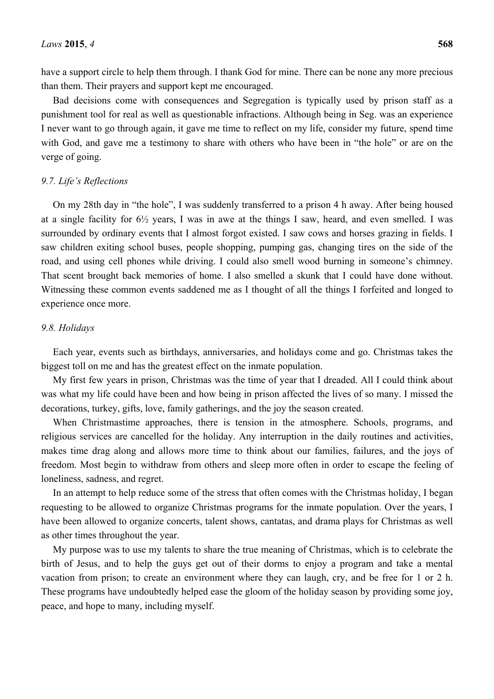have a support circle to help them through. I thank God for mine. There can be none any more precious than them. Their prayers and support kept me encouraged.

Bad decisions come with consequences and Segregation is typically used by prison staff as a punishment tool for real as well as questionable infractions. Although being in Seg. was an experience I never want to go through again, it gave me time to reflect on my life, consider my future, spend time with God, and gave me a testimony to share with others who have been in "the hole" or are on the verge of going.

## *9.7. Life's Reflections*

On my 28th day in "the hole", I was suddenly transferred to a prison 4 h away. After being housed at a single facility for 6½ years, I was in awe at the things I saw, heard, and even smelled. I was surrounded by ordinary events that I almost forgot existed. I saw cows and horses grazing in fields. I saw children exiting school buses, people shopping, pumping gas, changing tires on the side of the road, and using cell phones while driving. I could also smell wood burning in someone's chimney. That scent brought back memories of home. I also smelled a skunk that I could have done without. Witnessing these common events saddened me as I thought of all the things I forfeited and longed to experience once more.

# *9.8. Holidays*

Each year, events such as birthdays, anniversaries, and holidays come and go. Christmas takes the biggest toll on me and has the greatest effect on the inmate population.

My first few years in prison, Christmas was the time of year that I dreaded. All I could think about was what my life could have been and how being in prison affected the lives of so many. I missed the decorations, turkey, gifts, love, family gatherings, and the joy the season created.

When Christmastime approaches, there is tension in the atmosphere. Schools, programs, and religious services are cancelled for the holiday. Any interruption in the daily routines and activities, makes time drag along and allows more time to think about our families, failures, and the joys of freedom. Most begin to withdraw from others and sleep more often in order to escape the feeling of loneliness, sadness, and regret.

In an attempt to help reduce some of the stress that often comes with the Christmas holiday, I began requesting to be allowed to organize Christmas programs for the inmate population. Over the years, I have been allowed to organize concerts, talent shows, cantatas, and drama plays for Christmas as well as other times throughout the year.

My purpose was to use my talents to share the true meaning of Christmas, which is to celebrate the birth of Jesus, and to help the guys get out of their dorms to enjoy a program and take a mental vacation from prison; to create an environment where they can laugh, cry, and be free for 1 or 2 h. These programs have undoubtedly helped ease the gloom of the holiday season by providing some joy, peace, and hope to many, including myself.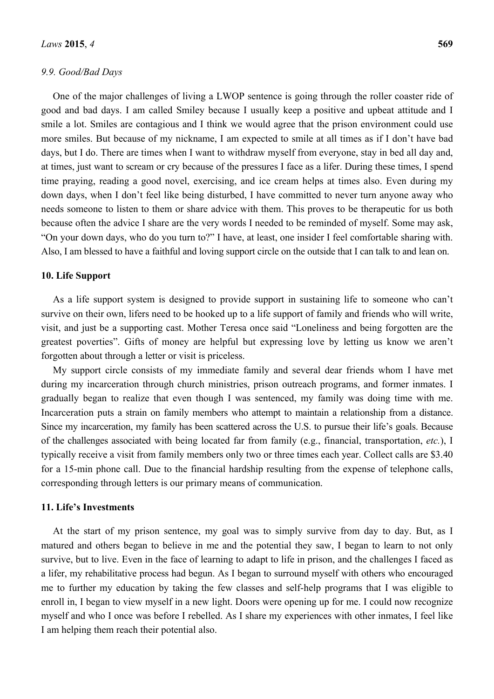# *9.9. Good/Bad Days*

One of the major challenges of living a LWOP sentence is going through the roller coaster ride of good and bad days. I am called Smiley because I usually keep a positive and upbeat attitude and I smile a lot. Smiles are contagious and I think we would agree that the prison environment could use more smiles. But because of my nickname, I am expected to smile at all times as if I don't have bad days, but I do. There are times when I want to withdraw myself from everyone, stay in bed all day and, at times, just want to scream or cry because of the pressures I face as a lifer. During these times, I spend time praying, reading a good novel, exercising, and ice cream helps at times also. Even during my down days, when I don't feel like being disturbed, I have committed to never turn anyone away who needs someone to listen to them or share advice with them. This proves to be therapeutic for us both because often the advice I share are the very words I needed to be reminded of myself. Some may ask, "On your down days, who do you turn to?" I have, at least, one insider I feel comfortable sharing with. Also, I am blessed to have a faithful and loving support circle on the outside that I can talk to and lean on.

## **10. Life Support**

As a life support system is designed to provide support in sustaining life to someone who can't survive on their own, lifers need to be hooked up to a life support of family and friends who will write, visit, and just be a supporting cast. Mother Teresa once said "Loneliness and being forgotten are the greatest poverties". Gifts of money are helpful but expressing love by letting us know we aren't forgotten about through a letter or visit is priceless.

My support circle consists of my immediate family and several dear friends whom I have met during my incarceration through church ministries, prison outreach programs, and former inmates. I gradually began to realize that even though I was sentenced, my family was doing time with me. Incarceration puts a strain on family members who attempt to maintain a relationship from a distance. Since my incarceration, my family has been scattered across the U.S. to pursue their life's goals. Because of the challenges associated with being located far from family (e.g., financial, transportation, *etc.*), I typically receive a visit from family members only two or three times each year. Collect calls are \$3.40 for a 15-min phone call. Due to the financial hardship resulting from the expense of telephone calls, corresponding through letters is our primary means of communication.

# **11. Life's Investments**

At the start of my prison sentence, my goal was to simply survive from day to day. But, as I matured and others began to believe in me and the potential they saw, I began to learn to not only survive, but to live. Even in the face of learning to adapt to life in prison, and the challenges I faced as a lifer, my rehabilitative process had begun. As I began to surround myself with others who encouraged me to further my education by taking the few classes and self-help programs that I was eligible to enroll in, I began to view myself in a new light. Doors were opening up for me. I could now recognize myself and who I once was before I rebelled. As I share my experiences with other inmates, I feel like I am helping them reach their potential also.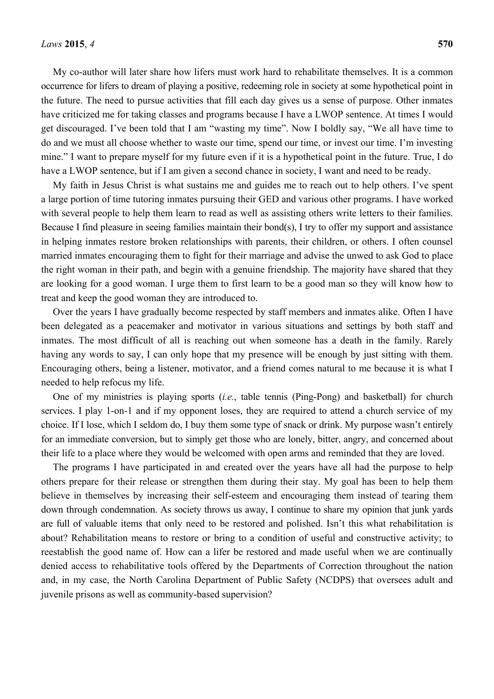My co-author will later share how lifers must work hard to rehabilitate themselves. It is a common occurrence for lifers to dream of playing a positive, redeeming role in society at some hypothetical point in the future. The need to pursue activities that fill each day gives us a sense of purpose. Other inmates have criticized me for taking classes and programs because I have a LWOP sentence. At times I would get discouraged. I've been told that I am "wasting my time". Now I boldly say, "We all have time to do and we must all choose whether to waste our time, spend our time, or invest our time. I'm investing mine." I want to prepare myself for my future even if it is a hypothetical point in the future. True, I do have a LWOP sentence, but if I am given a second chance in society, I want and need to be ready.

My faith in Jesus Christ is what sustains me and guides me to reach out to help others. I've spent a large portion of time tutoring inmates pursuing their GED and various other programs. I have worked with several people to help them learn to read as well as assisting others write letters to their families. Because I find pleasure in seeing families maintain their bond(s), I try to offer my support and assistance in helping inmates restore broken relationships with parents, their children, or others. I often counsel married inmates encouraging them to fight for their marriage and advise the unwed to ask God to place the right woman in their path, and begin with a genuine friendship. The majority have shared that they are looking for a good woman. I urge them to first learn to be a good man so they will know how to treat and keep the good woman they are introduced to.

Over the years I have gradually become respected by staff members and inmates alike. Often I have been delegated as a peacemaker and motivator in various situations and settings by both staff and inmates. The most difficult of all is reaching out when someone has a death in the family. Rarely having any words to say, I can only hope that my presence will be enough by just sitting with them. Encouraging others, being a listener, motivator, and a friend comes natural to me because it is what I needed to help refocus my life.

One of my ministries is playing sports (*i.e.*, table tennis (Ping-Pong) and basketball) for church services. I play 1-on-1 and if my opponent loses, they are required to attend a church service of my choice. If I lose, which I seldom do, I buy them some type of snack or drink. My purpose wasn't entirely for an immediate conversion, but to simply get those who are lonely, bitter, angry, and concerned about their life to a place where they would be welcomed with open arms and reminded that they are loved.

The programs I have participated in and created over the years have all had the purpose to help others prepare for their release or strengthen them during their stay. My goal has been to help them believe in themselves by increasing their self-esteem and encouraging them instead of tearing them down through condemnation. As society throws us away, I continue to share my opinion that junk yards are full of valuable items that only need to be restored and polished. Isn't this what rehabilitation is about? Rehabilitation means to restore or bring to a condition of useful and constructive activity; to reestablish the good name of. How can a lifer be restored and made useful when we are continually denied access to rehabilitative tools offered by the Departments of Correction throughout the nation and, in my case, the North Carolina Department of Public Safety (NCDPS) that oversees adult and juvenile prisons as well as community-based supervision?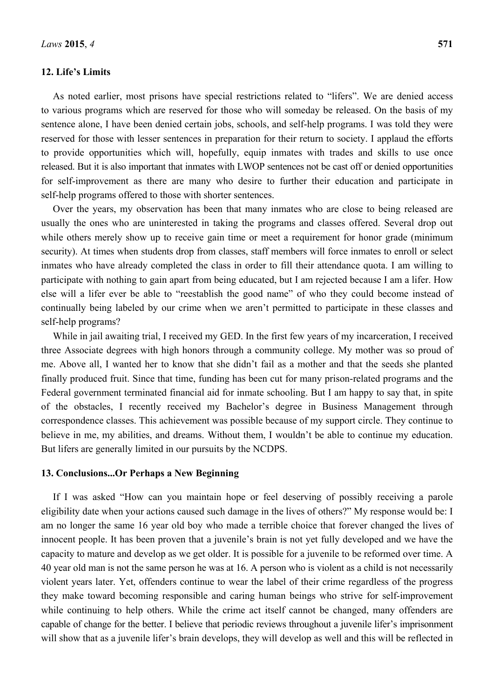# **12. Life's Limits**

As noted earlier, most prisons have special restrictions related to "lifers". We are denied access to various programs which are reserved for those who will someday be released. On the basis of my sentence alone, I have been denied certain jobs, schools, and self-help programs. I was told they were reserved for those with lesser sentences in preparation for their return to society. I applaud the efforts to provide opportunities which will, hopefully, equip inmates with trades and skills to use once released. But it is also important that inmates with LWOP sentences not be cast off or denied opportunities for self-improvement as there are many who desire to further their education and participate in self-help programs offered to those with shorter sentences.

Over the years, my observation has been that many inmates who are close to being released are usually the ones who are uninterested in taking the programs and classes offered. Several drop out while others merely show up to receive gain time or meet a requirement for honor grade (minimum security). At times when students drop from classes, staff members will force inmates to enroll or select inmates who have already completed the class in order to fill their attendance quota. I am willing to participate with nothing to gain apart from being educated, but I am rejected because I am a lifer. How else will a lifer ever be able to "reestablish the good name" of who they could become instead of continually being labeled by our crime when we aren't permitted to participate in these classes and self-help programs?

While in jail awaiting trial, I received my GED. In the first few years of my incarceration, I received three Associate degrees with high honors through a community college. My mother was so proud of me. Above all, I wanted her to know that she didn't fail as a mother and that the seeds she planted finally produced fruit. Since that time, funding has been cut for many prison-related programs and the Federal government terminated financial aid for inmate schooling. But I am happy to say that, in spite of the obstacles, I recently received my Bachelor's degree in Business Management through correspondence classes. This achievement was possible because of my support circle. They continue to believe in me, my abilities, and dreams. Without them, I wouldn't be able to continue my education. But lifers are generally limited in our pursuits by the NCDPS.

#### **13. Conclusions...Or Perhaps a New Beginning**

If I was asked "How can you maintain hope or feel deserving of possibly receiving a parole eligibility date when your actions caused such damage in the lives of others?" My response would be: I am no longer the same 16 year old boy who made a terrible choice that forever changed the lives of innocent people. It has been proven that a juvenile's brain is not yet fully developed and we have the capacity to mature and develop as we get older. It is possible for a juvenile to be reformed over time. A 40 year old man is not the same person he was at 16. A person who is violent as a child is not necessarily violent years later. Yet, offenders continue to wear the label of their crime regardless of the progress they make toward becoming responsible and caring human beings who strive for self-improvement while continuing to help others. While the crime act itself cannot be changed, many offenders are capable of change for the better. I believe that periodic reviews throughout a juvenile lifer's imprisonment will show that as a juvenile lifer's brain develops, they will develop as well and this will be reflected in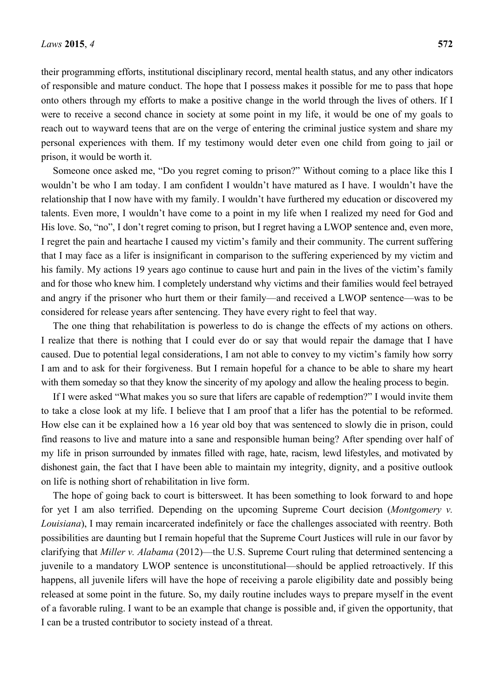their programming efforts, institutional disciplinary record, mental health status, and any other indicators of responsible and mature conduct. The hope that I possess makes it possible for me to pass that hope onto others through my efforts to make a positive change in the world through the lives of others. If I were to receive a second chance in society at some point in my life, it would be one of my goals to reach out to wayward teens that are on the verge of entering the criminal justice system and share my personal experiences with them. If my testimony would deter even one child from going to jail or prison, it would be worth it.

Someone once asked me, "Do you regret coming to prison?" Without coming to a place like this I wouldn't be who I am today. I am confident I wouldn't have matured as I have. I wouldn't have the relationship that I now have with my family. I wouldn't have furthered my education or discovered my talents. Even more, I wouldn't have come to a point in my life when I realized my need for God and His love. So, "no", I don't regret coming to prison, but I regret having a LWOP sentence and, even more, I regret the pain and heartache I caused my victim's family and their community. The current suffering that I may face as a lifer is insignificant in comparison to the suffering experienced by my victim and his family. My actions 19 years ago continue to cause hurt and pain in the lives of the victim's family and for those who knew him. I completely understand why victims and their families would feel betrayed and angry if the prisoner who hurt them or their family—and received a LWOP sentence—was to be considered for release years after sentencing. They have every right to feel that way.

The one thing that rehabilitation is powerless to do is change the effects of my actions on others. I realize that there is nothing that I could ever do or say that would repair the damage that I have caused. Due to potential legal considerations, I am not able to convey to my victim's family how sorry I am and to ask for their forgiveness. But I remain hopeful for a chance to be able to share my heart with them someday so that they know the sincerity of my apology and allow the healing process to begin.

If I were asked "What makes you so sure that lifers are capable of redemption?" I would invite them to take a close look at my life. I believe that I am proof that a lifer has the potential to be reformed. How else can it be explained how a 16 year old boy that was sentenced to slowly die in prison, could find reasons to live and mature into a sane and responsible human being? After spending over half of my life in prison surrounded by inmates filled with rage, hate, racism, lewd lifestyles, and motivated by dishonest gain, the fact that I have been able to maintain my integrity, dignity, and a positive outlook on life is nothing short of rehabilitation in live form.

The hope of going back to court is bittersweet. It has been something to look forward to and hope for yet I am also terrified. Depending on the upcoming Supreme Court decision (*Montgomery v. Louisiana*), I may remain incarcerated indefinitely or face the challenges associated with reentry. Both possibilities are daunting but I remain hopeful that the Supreme Court Justices will rule in our favor by clarifying that *Miller v. Alabama* (2012)—the U.S. Supreme Court ruling that determined sentencing a juvenile to a mandatory LWOP sentence is unconstitutional—should be applied retroactively. If this happens, all juvenile lifers will have the hope of receiving a parole eligibility date and possibly being released at some point in the future. So, my daily routine includes ways to prepare myself in the event of a favorable ruling. I want to be an example that change is possible and, if given the opportunity, that I can be a trusted contributor to society instead of a threat.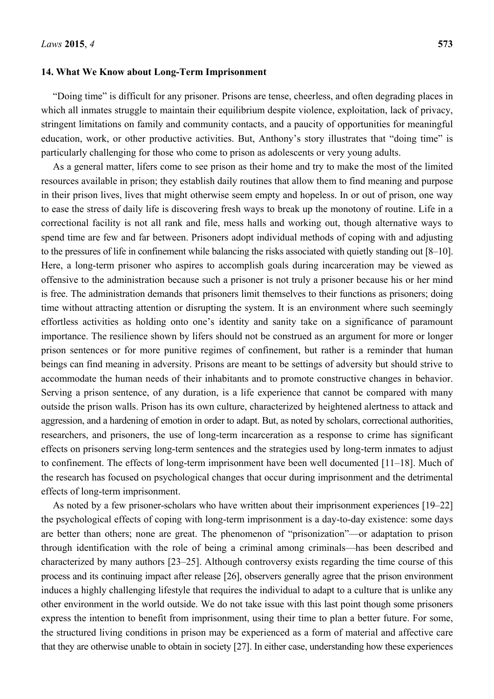## **14. What We Know about Long-Term Imprisonment**

"Doing time" is difficult for any prisoner. Prisons are tense, cheerless, and often degrading places in which all inmates struggle to maintain their equilibrium despite violence, exploitation, lack of privacy, stringent limitations on family and community contacts, and a paucity of opportunities for meaningful education, work, or other productive activities. But, Anthony's story illustrates that "doing time" is particularly challenging for those who come to prison as adolescents or very young adults.

As a general matter, lifers come to see prison as their home and try to make the most of the limited resources available in prison; they establish daily routines that allow them to find meaning and purpose in their prison lives, lives that might otherwise seem empty and hopeless. In or out of prison, one way to ease the stress of daily life is discovering fresh ways to break up the monotony of routine. Life in a correctional facility is not all rank and file, mess halls and working out, though alternative ways to spend time are few and far between. Prisoners adopt individual methods of coping with and adjusting to the pressures of life in confinement while balancing the risks associated with quietly standing out [8–10]. Here, a long-term prisoner who aspires to accomplish goals during incarceration may be viewed as offensive to the administration because such a prisoner is not truly a prisoner because his or her mind is free. The administration demands that prisoners limit themselves to their functions as prisoners; doing time without attracting attention or disrupting the system. It is an environment where such seemingly effortless activities as holding onto one's identity and sanity take on a significance of paramount importance. The resilience shown by lifers should not be construed as an argument for more or longer prison sentences or for more punitive regimes of confinement, but rather is a reminder that human beings can find meaning in adversity. Prisons are meant to be settings of adversity but should strive to accommodate the human needs of their inhabitants and to promote constructive changes in behavior. Serving a prison sentence, of any duration, is a life experience that cannot be compared with many outside the prison walls. Prison has its own culture, characterized by heightened alertness to attack and aggression, and a hardening of emotion in order to adapt. But, as noted by scholars, correctional authorities, researchers, and prisoners, the use of long-term incarceration as a response to crime has significant effects on prisoners serving long-term sentences and the strategies used by long-term inmates to adjust to confinement. The effects of long-term imprisonment have been well documented [11–18]. Much of the research has focused on psychological changes that occur during imprisonment and the detrimental effects of long-term imprisonment.

As noted by a few prisoner-scholars who have written about their imprisonment experiences [19–22] the psychological effects of coping with long-term imprisonment is a day-to-day existence: some days are better than others; none are great. The phenomenon of "prisonization"—or adaptation to prison through identification with the role of being a criminal among criminals—has been described and characterized by many authors [23–25]. Although controversy exists regarding the time course of this process and its continuing impact after release [26], observers generally agree that the prison environment induces a highly challenging lifestyle that requires the individual to adapt to a culture that is unlike any other environment in the world outside. We do not take issue with this last point though some prisoners express the intention to benefit from imprisonment, using their time to plan a better future. For some, the structured living conditions in prison may be experienced as a form of material and affective care that they are otherwise unable to obtain in society [27]. In either case, understanding how these experiences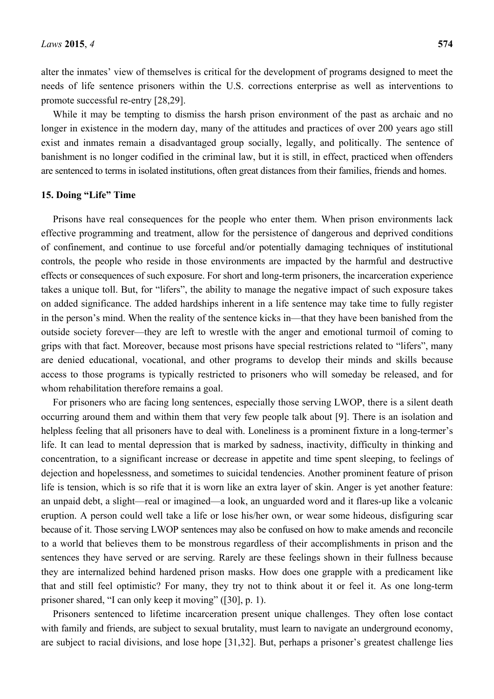alter the inmates' view of themselves is critical for the development of programs designed to meet the needs of life sentence prisoners within the U.S. corrections enterprise as well as interventions to promote successful re-entry [28,29].

While it may be tempting to dismiss the harsh prison environment of the past as archaic and no longer in existence in the modern day, many of the attitudes and practices of over 200 years ago still exist and inmates remain a disadvantaged group socially, legally, and politically. The sentence of banishment is no longer codified in the criminal law, but it is still, in effect, practiced when offenders are sentenced to terms in isolated institutions, often great distances from their families, friends and homes.

# **15. Doing "Life" Time**

Prisons have real consequences for the people who enter them. When prison environments lack effective programming and treatment, allow for the persistence of dangerous and deprived conditions of confinement, and continue to use forceful and/or potentially damaging techniques of institutional controls, the people who reside in those environments are impacted by the harmful and destructive effects or consequences of such exposure. For short and long-term prisoners, the incarceration experience takes a unique toll. But, for "lifers", the ability to manage the negative impact of such exposure takes on added significance. The added hardships inherent in a life sentence may take time to fully register in the person's mind. When the reality of the sentence kicks in—that they have been banished from the outside society forever—they are left to wrestle with the anger and emotional turmoil of coming to grips with that fact. Moreover, because most prisons have special restrictions related to "lifers", many are denied educational, vocational, and other programs to develop their minds and skills because access to those programs is typically restricted to prisoners who will someday be released, and for whom rehabilitation therefore remains a goal.

For prisoners who are facing long sentences, especially those serving LWOP, there is a silent death occurring around them and within them that very few people talk about [9]. There is an isolation and helpless feeling that all prisoners have to deal with. Loneliness is a prominent fixture in a long-termer's life. It can lead to mental depression that is marked by sadness, inactivity, difficulty in thinking and concentration, to a significant increase or decrease in appetite and time spent sleeping, to feelings of dejection and hopelessness, and sometimes to suicidal tendencies. Another prominent feature of prison life is tension, which is so rife that it is worn like an extra layer of skin. Anger is yet another feature: an unpaid debt, a slight—real or imagined—a look, an unguarded word and it flares-up like a volcanic eruption. A person could well take a life or lose his/her own, or wear some hideous, disfiguring scar because of it. Those serving LWOP sentences may also be confused on how to make amends and reconcile to a world that believes them to be monstrous regardless of their accomplishments in prison and the sentences they have served or are serving. Rarely are these feelings shown in their fullness because they are internalized behind hardened prison masks. How does one grapple with a predicament like that and still feel optimistic? For many, they try not to think about it or feel it. As one long-term prisoner shared, "I can only keep it moving" ([30], p. 1).

Prisoners sentenced to lifetime incarceration present unique challenges. They often lose contact with family and friends, are subject to sexual brutality, must learn to navigate an underground economy, are subject to racial divisions, and lose hope [31,32]. But, perhaps a prisoner's greatest challenge lies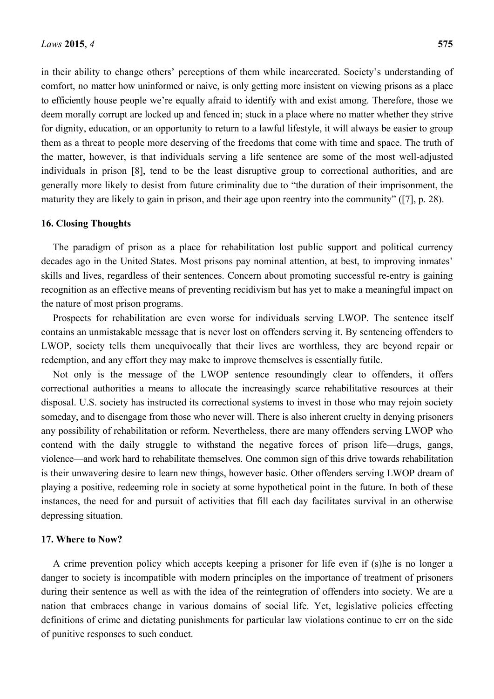in their ability to change others' perceptions of them while incarcerated. Society's understanding of comfort, no matter how uninformed or naive, is only getting more insistent on viewing prisons as a place to efficiently house people we're equally afraid to identify with and exist among. Therefore, those we deem morally corrupt are locked up and fenced in; stuck in a place where no matter whether they strive for dignity, education, or an opportunity to return to a lawful lifestyle, it will always be easier to group them as a threat to people more deserving of the freedoms that come with time and space. The truth of the matter, however, is that individuals serving a life sentence are some of the most well-adjusted individuals in prison [8], tend to be the least disruptive group to correctional authorities, and are generally more likely to desist from future criminality due to "the duration of their imprisonment, the maturity they are likely to gain in prison, and their age upon reentry into the community" ([7], p. 28).

#### **16. Closing Thoughts**

The paradigm of prison as a place for rehabilitation lost public support and political currency decades ago in the United States. Most prisons pay nominal attention, at best, to improving inmates' skills and lives, regardless of their sentences. Concern about promoting successful re-entry is gaining recognition as an effective means of preventing recidivism but has yet to make a meaningful impact on the nature of most prison programs.

Prospects for rehabilitation are even worse for individuals serving LWOP. The sentence itself contains an unmistakable message that is never lost on offenders serving it. By sentencing offenders to LWOP, society tells them unequivocally that their lives are worthless, they are beyond repair or redemption, and any effort they may make to improve themselves is essentially futile.

Not only is the message of the LWOP sentence resoundingly clear to offenders, it offers correctional authorities a means to allocate the increasingly scarce rehabilitative resources at their disposal. U.S. society has instructed its correctional systems to invest in those who may rejoin society someday, and to disengage from those who never will. There is also inherent cruelty in denying prisoners any possibility of rehabilitation or reform. Nevertheless, there are many offenders serving LWOP who contend with the daily struggle to withstand the negative forces of prison life—drugs, gangs, violence—and work hard to rehabilitate themselves. One common sign of this drive towards rehabilitation is their unwavering desire to learn new things, however basic. Other offenders serving LWOP dream of playing a positive, redeeming role in society at some hypothetical point in the future. In both of these instances, the need for and pursuit of activities that fill each day facilitates survival in an otherwise depressing situation.

#### **17. Where to Now?**

A crime prevention policy which accepts keeping a prisoner for life even if (s)he is no longer a danger to society is incompatible with modern principles on the importance of treatment of prisoners during their sentence as well as with the idea of the reintegration of offenders into society. We are a nation that embraces change in various domains of social life. Yet, legislative policies effecting definitions of crime and dictating punishments for particular law violations continue to err on the side of punitive responses to such conduct.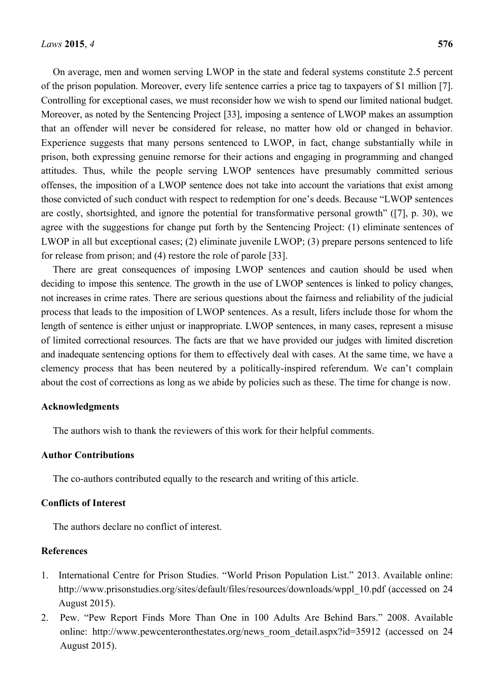On average, men and women serving LWOP in the state and federal systems constitute 2.5 percent of the prison population. Moreover, every life sentence carries a price tag to taxpayers of \$1 million [7]. Controlling for exceptional cases, we must reconsider how we wish to spend our limited national budget. Moreover, as noted by the Sentencing Project [33], imposing a sentence of LWOP makes an assumption that an offender will never be considered for release, no matter how old or changed in behavior. Experience suggests that many persons sentenced to LWOP, in fact, change substantially while in prison, both expressing genuine remorse for their actions and engaging in programming and changed attitudes. Thus, while the people serving LWOP sentences have presumably committed serious offenses, the imposition of a LWOP sentence does not take into account the variations that exist among those convicted of such conduct with respect to redemption for one's deeds. Because "LWOP sentences are costly, shortsighted, and ignore the potential for transformative personal growth" ([7], p. 30), we agree with the suggestions for change put forth by the Sentencing Project: (1) eliminate sentences of LWOP in all but exceptional cases; (2) eliminate juvenile LWOP; (3) prepare persons sentenced to life for release from prison; and (4) restore the role of parole [33].

There are great consequences of imposing LWOP sentences and caution should be used when deciding to impose this sentence. The growth in the use of LWOP sentences is linked to policy changes, not increases in crime rates. There are serious questions about the fairness and reliability of the judicial process that leads to the imposition of LWOP sentences. As a result, lifers include those for whom the length of sentence is either unjust or inappropriate. LWOP sentences, in many cases, represent a misuse of limited correctional resources. The facts are that we have provided our judges with limited discretion and inadequate sentencing options for them to effectively deal with cases. At the same time, we have a clemency process that has been neutered by a politically-inspired referendum. We can't complain about the cost of corrections as long as we abide by policies such as these. The time for change is now.

# **Acknowledgments**

The authors wish to thank the reviewers of this work for their helpful comments.

## **Author Contributions**

The co-authors contributed equally to the research and writing of this article.

## **Conflicts of Interest**

The authors declare no conflict of interest.

# **References**

- 1. International Centre for Prison Studies. "World Prison Population List." 2013. Available online: http://www.prisonstudies.org/sites/default/files/resources/downloads/wppl\_10.pdf (accessed on 24 August 2015).
- 2. Pew. "Pew Report Finds More Than One in 100 Adults Are Behind Bars." 2008. Available online: http://www.pewcenteronthestates.org/news\_room\_detail.aspx?id=35912 (accessed on 24 August 2015).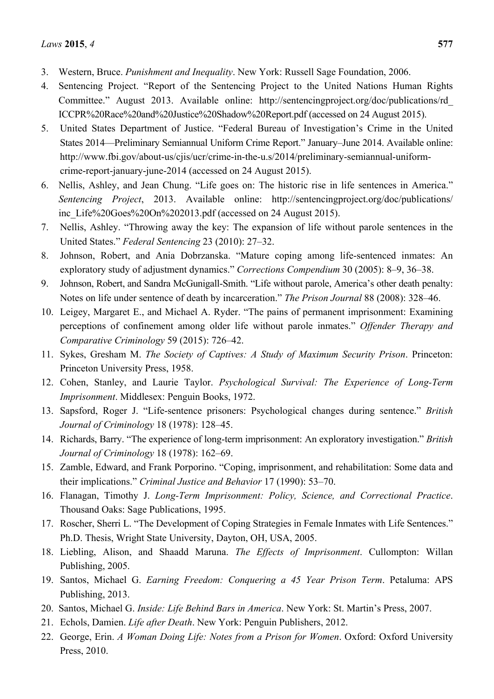- 3. Western, Bruce. *Punishment and Inequality*. New York: Russell Sage Foundation, 2006.
- 4. Sentencing Project. "Report of the Sentencing Project to the United Nations Human Rights Committee." August 2013. Available online: http://sentencingproject.org/doc/publications/rd\_ ICCPR%20Race%20and%20Justice%20Shadow%20Report.pdf (accessed on 24 August 2015).
- 5. United States Department of Justice. "Federal Bureau of Investigation's Crime in the United States 2014—Preliminary Semiannual Uniform Crime Report." January–June 2014. Available online: http://www.fbi.gov/about-us/cjis/ucr/crime-in-the-u.s/2014/preliminary-semiannual-uniformcrime-report-january-june-2014 (accessed on 24 August 2015).
- 6. Nellis, Ashley, and Jean Chung. "Life goes on: The historic rise in life sentences in America." *Sentencing Project*, 2013. Available online: http://sentencingproject.org/doc/publications/ inc\_Life%20Goes%20On%202013.pdf (accessed on 24 August 2015).
- 7. Nellis, Ashley. "Throwing away the key: The expansion of life without parole sentences in the United States." *Federal Sentencing* 23 (2010): 27–32.
- 8. Johnson, Robert, and Ania Dobrzanska. "Mature coping among life-sentenced inmates: An exploratory study of adjustment dynamics." *Corrections Compendium* 30 (2005): 8–9, 36–38.
- 9. Johnson, Robert, and Sandra McGunigall-Smith. "Life without parole, America's other death penalty: Notes on life under sentence of death by incarceration." *The Prison Journal* 88 (2008): 328–46.
- 10. Leigey, Margaret E., and Michael A. Ryder. "The pains of permanent imprisonment: Examining perceptions of confinement among older life without parole inmates." *Offender Therapy and Comparative Criminology* 59 (2015): 726–42.
- 11. Sykes, Gresham M. *The Society of Captives: A Study of Maximum Security Prison*. Princeton: Princeton University Press, 1958.
- 12. Cohen, Stanley, and Laurie Taylor. *Psychological Survival: The Experience of Long-Term Imprisonment*. Middlesex: Penguin Books, 1972.
- 13. Sapsford, Roger J. "Life-sentence prisoners: Psychological changes during sentence." *British Journal of Criminology* 18 (1978): 128–45.
- 14. Richards, Barry. "The experience of long-term imprisonment: An exploratory investigation." *British Journal of Criminology* 18 (1978): 162–69.
- 15. Zamble, Edward, and Frank Porporino. "Coping, imprisonment, and rehabilitation: Some data and their implications." *Criminal Justice and Behavior* 17 (1990): 53–70.
- 16. Flanagan, Timothy J. *Long-Term Imprisonment: Policy, Science, and Correctional Practice*. Thousand Oaks: Sage Publications, 1995.
- 17. Roscher, Sherri L. "The Development of Coping Strategies in Female Inmates with Life Sentences." Ph.D. Thesis, Wright State University, Dayton, OH, USA, 2005.
- 18. Liebling, Alison, and Shaadd Maruna. *The Effects of Imprisonment*. Cullompton: Willan Publishing, 2005.
- 19. Santos, Michael G. *Earning Freedom: Conquering a 45 Year Prison Term*. Petaluma: APS Publishing, 2013.
- 20. Santos, Michael G. *Inside: Life Behind Bars in America*. New York: St. Martin's Press, 2007.
- 21. Echols, Damien. *Life after Death*. New York: Penguin Publishers, 2012.
- 22. George, Erin. *A Woman Doing Life: Notes from a Prison for Women*. Oxford: Oxford University Press, 2010.